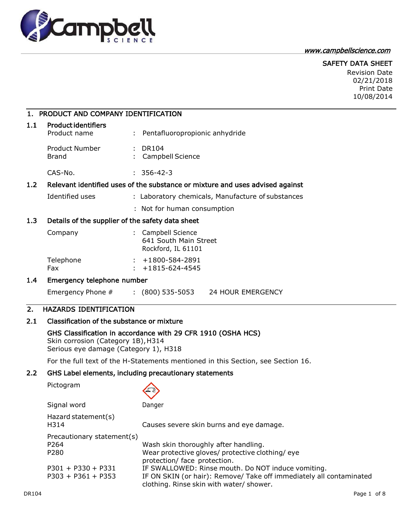

www.campbellscience.com

SAFETY DATA SHEET

Revision Date 02/21/2018 Print Date 10/08/2014

## 1. PRODUCT AND COMPANY IDENTIFICATION

| 1.1 | <b>Product identifiers</b><br>Product name | : Pentafluoropropionic anhydride |
|-----|--------------------------------------------|----------------------------------|
|     | Product Number<br>Brand                    | : DR104<br>: Campbell Science    |
|     | CAS-No.                                    | $: 356 - 42 - 3$                 |

### 1.2 Relevant identified uses of the substance or mixture and uses advised against

Identified uses : Laboratory chemicals, Manufacture of substances

: Not for human consumption

### 1.3 Details of the supplier of the safety data sheet

| : Campbell Science<br>641 South Main Street<br>Rockford, IL 61101 |
|-------------------------------------------------------------------|
| $: +1800 - 584 - 2891$<br>$: +1815-624-4545$                      |
|                                                                   |

#### 1.4 Emergency telephone number

Emergency Phone # : (800) 535-5053 24 HOUR EMERGENCY

## 2. HAZARDS IDENTIFICATION

## 2.1 Classification of the substance or mixture

## GHS Classification in accordance with 29 CFR 1910 (OSHA HCS)

Skin corrosion (Category 1B), H314 Serious eye damage (Category 1), H318

For the full text of the H-Statements mentioned in this Section, see Section 16.

## 2.2 GHS Label elements, including precautionary statements

| Pictogram |
|-----------|
|-----------|

|--|

| Signal word                                            | Danger                                                                                                                  |
|--------------------------------------------------------|-------------------------------------------------------------------------------------------------------------------------|
| Hazard statement(s)<br>H314                            | Causes severe skin burns and eye damage.                                                                                |
| Precautionary statement(s)<br>P <sub>264</sub><br>P280 | Wash skin thoroughly after handling.<br>Wear protective gloves/ protective clothing/eye<br>protection/ face protection. |
| $P301 + P330 + P331$                                   | IF SWALLOWED: Rinse mouth. Do NOT induce vomiting.                                                                      |
| $P303 + P361 + P353$                                   | IF ON SKIN (or hair): Remove/ Take off immediately all contaminated<br>clothing. Rinse skin with water/ shower.         |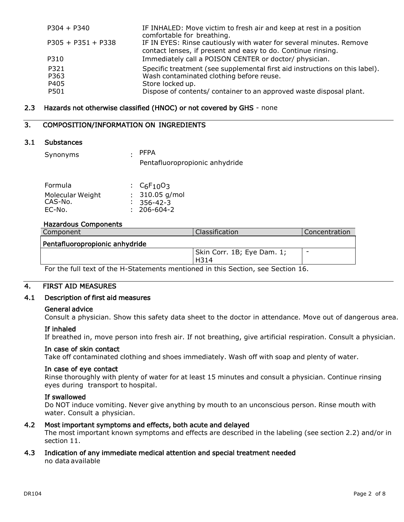| $P304 + P340$                | IF INHALED: Move victim to fresh air and keep at rest in a position<br>comfortable for breathing.                                                                                                                  |
|------------------------------|--------------------------------------------------------------------------------------------------------------------------------------------------------------------------------------------------------------------|
| $P305 + P351 + P338$         | IF IN EYES: Rinse cautiously with water for several minutes. Remove<br>contact lenses, if present and easy to do. Continue rinsing.                                                                                |
| P310                         | Immediately call a POISON CENTER or doctor/ physician.                                                                                                                                                             |
| P321<br>P363<br>P405<br>P501 | Specific treatment (see supplemental first aid instructions on this label).<br>Wash contaminated clothing before reuse.<br>Store locked up.<br>Dispose of contents/ container to an approved waste disposal plant. |

### 2.3 Hazards not otherwise classified (HNOC) or not covered by GHS - none

### 3. COMPOSITION/INFORMATION ON INGREDIENTS

#### 3.1 Substances

| Synonyms | . PFPA                         |
|----------|--------------------------------|
|          | Pentafluoropropionic anhydride |
|          |                                |

| Formula          | : $C_6F_{10}O_3$       |
|------------------|------------------------|
| Molecular Weight | $: 310.05$ g/mol       |
| CAS-No.          | $\frac{1}{2}$ 356-42-3 |
| EC-No.           | $: 206 - 604 - 2$      |

#### Hazardous Components

| Component                      | Classification                     | <b>Concentration</b> |
|--------------------------------|------------------------------------|----------------------|
| Pentafluoropropionic anhydride |                                    |                      |
|                                | Skin Corr. 1B; Eye Dam. 1;<br>H314 | -                    |

For the full text of the H-Statements mentioned in this Section, see Section 16.

## 4. FIRST AID MEASURES

#### 4.1 Description of first aid measures

#### General advice

Consult a physician. Show this safety data sheet to the doctor in attendance. Move out of dangerous area.

#### If inhaled

If breathed in, move person into fresh air. If not breathing, give artificial respiration. Consult a physician.

#### In case of skin contact

Take off contaminated clothing and shoes immediately. Wash off with soap and plenty of water.

#### In case of eye contact

Rinse thoroughly with plenty of water for at least 15 minutes and consult a physician. Continue rinsing eyes during transport to hospital.

#### If swallowed

Do NOT induce vomiting. Never give anything by mouth to an unconscious person. Rinse mouth with water. Consult a physician.

#### 4.2 Most important symptoms and effects, both acute and delayed

The most important known symptoms and effects are described in the labeling (see section 2.2) and/or in section 11.

#### 4.3 Indication of any immediate medical attention and special treatment needed no data available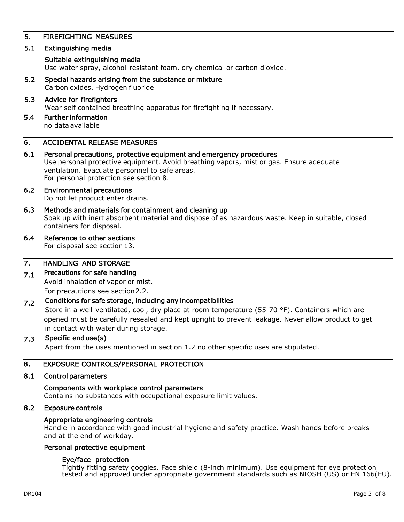## 5. FIREFIGHTING MEASURES

### 5.1 Extinguishing media

#### Suitable extinguishing media

Use water spray, alcohol-resistant foam, dry chemical or carbon dioxide.

- 5.2 Special hazards arising from the substance or mixture Carbon oxides, Hydrogen fluoride
- 5.3 Advice for firefighters Wear self contained breathing apparatus for firefighting if necessary.
- 5.4 Further information no data available

## 6. ACCIDENTAL RELEASE MEASURES

6.1 Personal precautions, protective equipment and emergency procedures Use personal protective equipment. Avoid breathing vapors, mist or gas. Ensure adequate ventilation. Evacuate personnel to safe areas. For personal protection see section 8.

# 6.2 Environmental precautions

Do not let product enter drains.

6.3 Methods and materials for containment and cleaning up Soak up with inert absorbent material and dispose of as hazardous waste. Keep in suitable, closed containers for disposal.

## 6.4 Reference to other sections

For disposal see section 13.

#### 7. HANDLING AND STORAGE

#### 7.1 Precautions for safe handling

Avoid inhalation of vapor or mist. For precautions see section 2.2.

#### 7.2 Conditions for safe storage, including any incompatibilities

Store in a well-ventilated, cool, dry place at room temperature (55-70 °F). Containers which are opened must be carefully resealed and kept upright to prevent leakage. Never allow product to get in contact with water during storage.

#### 7.3 Specific end use(s)

Apart from the uses mentioned in section 1.2 no other specific uses are stipulated.

#### 8. EXPOSURE CONTROLS/PERSONAL PROTECTION

#### 8.1 Control parameters

## Components with workplace control parameters

Contains no substances with occupational exposure limit values.

#### 8.2 Exposure controls

#### Appropriate engineering controls

Handle in accordance with good industrial hygiene and safety practice. Wash hands before breaks and at the end of workday.

#### Personal protective equipment

#### Eye/face protection

Tightly fitting safety goggles. Face shield (8-inch minimum). Use equipment for eye protection tested and approved under appropriate government standards such as NIOSH (US) or EN 166(EU).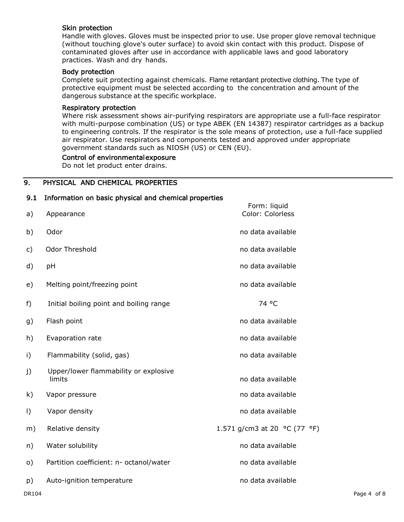#### Skin protection

Handle with gloves. Gloves must be inspected prior to use. Use proper glove removal technique (without touching glove's outer surface) to avoid skin contact with this product. Dispose of contaminated gloves after use in accordance with applicable laws and good laboratory practices. Wash and dry hands.

#### Body protection

Complete suit protecting against chemicals. Flame retardant protective clothing. The type of protective equipment must be selected according to the concentration and amount of the dangerous substance at the specific workplace.

#### Respiratory protection

Where risk assessment shows air-purifying respirators are appropriate use a full-face respirator with multi-purpose combination (US) or type ABEK (EN 14387) respirator cartridges as a backup to engineering controls. If the respirator is the sole means of protection, use a full-face supplied air respirator. Use respirators and components tested and approved under appropriate government standards such as NIOSH (US) or CEN (EU).

#### Control of environmental exposure

Do not let product enter drains.

## 9. PHYSICAL AND CHEMICAL PROPERTIES

| 9.1          | Information on basic physical and chemical properties |                                  |  |
|--------------|-------------------------------------------------------|----------------------------------|--|
| a)           | Appearance                                            | Form: liquid<br>Color: Colorless |  |
| b)           | Odor                                                  | no data available                |  |
| $\mathsf{c}$ | Odor Threshold                                        | no data available                |  |
| d)           | pH                                                    | no data available                |  |
| e)           | Melting point/freezing point                          | no data available                |  |
| $f$ )        | Initial boiling point and boiling range               | 74 °C                            |  |
| g)           | Flash point                                           | no data available                |  |
| h)           | Evaporation rate                                      | no data available                |  |
| $\mathsf{i}$ | Flammability (solid, gas)                             | no data available                |  |
| j)           | Upper/lower flammability or explosive<br>limits       | no data available                |  |
| k)           | Vapor pressure                                        | no data available                |  |
| $\vert$ )    | Vapor density                                         | no data available                |  |
| m)           | Relative density                                      | 1.571 g/cm3 at 20 °C (77 °F)     |  |
| n)           | Water solubility                                      | no data available                |  |
| $\circ)$     | Partition coefficient: n- octanol/water               | no data available                |  |
| p)           | Auto-ignition temperature                             | no data available                |  |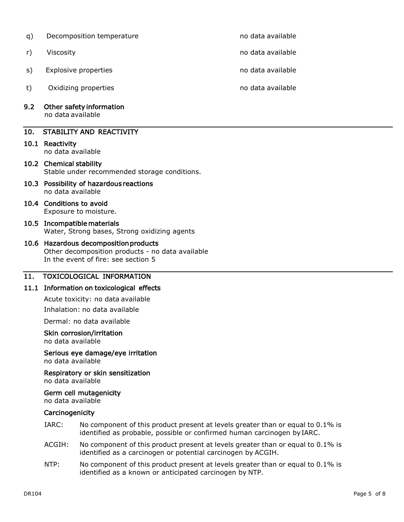- q) Decomposition temperature no metal available no data available r) Viscosity **no data available** no data available s) Explosive properties no data available no data available
- t) Oxidizing properties no data available
- 9.2 Other safety information no data available

## 10. STABILITY AND REACTIVITY

10.1 Reactivity

no data available

- 10.2 Chemical stability Stable under recommended storage conditions.
- 10.3 Possibility of hazardous reactions no data available
- 10.4 Conditions to avoid Exposure to moisture.
- 10.5 Incompatible materials Water, Strong bases, Strong oxidizing agents

## 10.6 Hazardous decomposition products Other decomposition products - no data available In the event of fire: see section 5

# 11. TOXICOLOGICAL INFORMATION

## 11.1 Information on toxicological effects

Acute toxicity: no data available

Inhalation: no data available

Dermal: no data available

## Skin corrosion/irritation

no data available

# Serious eye damage/eye irritation

no data available

Respiratory or skin sensitization no data available

## Germ cell mutagenicity

no data available

## **Carcinogenicity**

- IARC: No component of this product present at levels greater than or equal to 0.1% is identified as probable, possible or confirmed human carcinogen byIARC.
- ACGIH: No component of this product present at levels greater than or equal to 0.1% is identified as a carcinogen or potential carcinogen by ACGIH.
- NTP: No component of this product present at levels greater than or equal to 0.1% is identified as a known or anticipated carcinogen by NTP.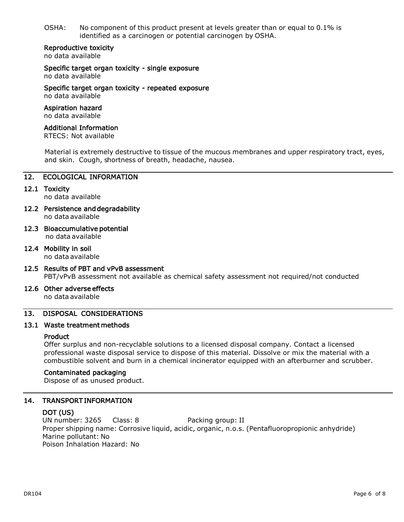OSHA: No component of this product present at levels greater than or equal to  $0.1\%$  is identified as a carcinogen or potential carcinogen by OSHA.

#### Reproductive toxicity

no data available

Specific target organ toxicity - single exposure

no data available

Specific target organ toxicity - repeated exposure no data available

#### Aspiration hazard no data available

# Additional Information

RTECS: Not available

Material is extremely destructive to tissue of the mucous membranes and upper respiratory tract, eyes, and skin. Cough, shortness of breath, headache, nausea.

### 12. ECOLOGICAL INFORMATION

12.1 Toxicity

no data available

- 12.2 Persistence and degradability no data available
- 12.3 Bioaccumulative potential no data available
- 12.4 Mobility in soil no data available
- 12.5 Results of PBT and vPvB assessment PBT/vPvB assessment not available as chemical safety assessment not required/not conducted
- 12.6 Other adverse effects

no data available

## 13. DISPOSAL CONSIDERATIONS

#### 13.1 Waste treatment methods

#### Product

Offer surplus and non-recyclable solutions to a licensed disposal company. Contact a licensed professional waste disposal service to dispose of this material. Dissolve or mix the material with a combustible solvent and burn in a chemical incinerator equipped with an afterburner and scrubber.

#### Contaminated packaging

Dispose of as unused product.

#### 14. TRANSPORT INFORMATION

#### DOT (US)

UN number: 3265 Class: 8 Packing group: II Proper shipping name: Corrosive liquid, acidic, organic, n.o.s. (Pentafluoropropionic anhydride) Marine pollutant: No Poison Inhalation Hazard: No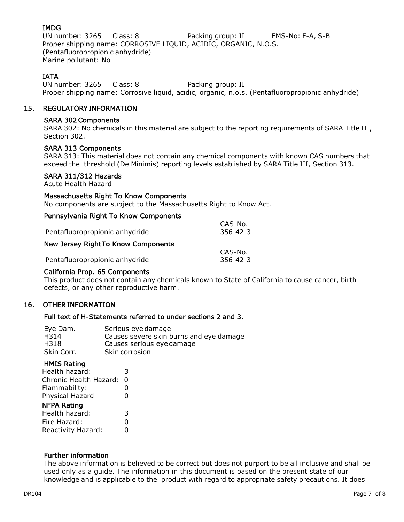## IMDG

UN number: 3265 Class: 8 Packing group: II EMS-No: F-A, S-B Proper shipping name: CORROSIVE LIQUID, ACIDIC, ORGANIC, N.O.S. (Pentafluoropropionic anhydride) Marine pollutant: No

## IATA

UN number: 3265 Class: 8 Packing group: II Proper shipping name: Corrosive liquid, acidic, organic, n.o.s. (Pentafluoropropionic anhydride)

### 15. REGULATORY INFORMATION

#### SARA 302 Components

SARA 302: No chemicals in this material are subject to the reporting requirements of SARA Title III, Section 302.

#### SARA 313 Components

SARA 313: This material does not contain any chemical components with known CAS numbers that exceed the threshold (De Minimis) reporting levels established by SARA Title III, Section 313.

#### SARA 311/312 Hazards

Acute Health Hazard

#### Massachusetts Right To Know Components

No components are subject to the Massachusetts Right to Know Act.

## Pennsylvania Right To Know Components

| CAS-No.<br>$356 - 42 - 3$ |
|---------------------------|
|                           |
|                           |
|                           |
| $356 - 42 - 3$            |
| CAS-No.                   |

### California Prop. 65 Components

This product does not contain any chemicals known to State of California to cause cancer, birth defects, or any other reproductive harm.

## 16. OTHER INFORMATION

#### Full text of H-Statements referred to under sections 2 and 3.

| Eye Dam.   | Serious eye damage                      |
|------------|-----------------------------------------|
| H314       | Causes severe skin burns and eye damage |
| H318       | Causes serious eye damage               |
| Skin Corr. | Skin corrosion                          |

#### HMIS Rating

| Health hazard:         | 3 |
|------------------------|---|
| Chronic Health Hazard: | 0 |
| Flammability:          | 0 |
| Physical Hazard        | O |
| <b>NFPA Rating</b>     |   |
|                        |   |
| Health hazard:         | 3 |
| Fire Hazard:           | 0 |

#### Further information

The above information is believed to be correct but does not purport to be all inclusive and shall be used only as a guide. The information in this document is based on the present state of our knowledge and is applicable to the product with regard to appropriate safety precautions. It does